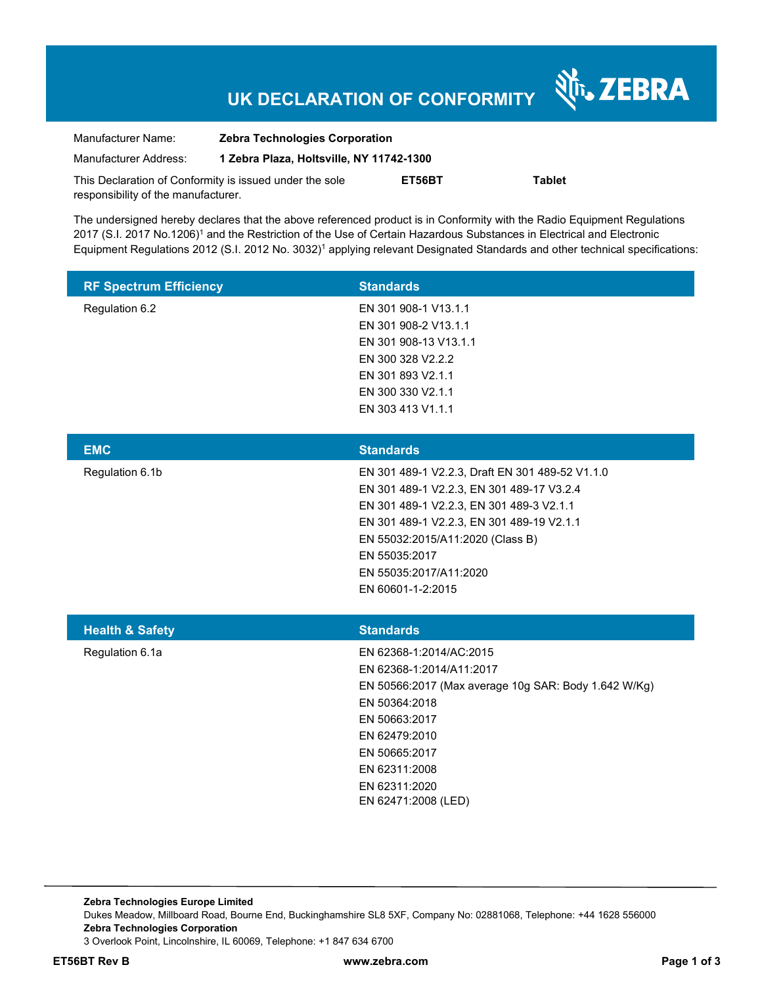# **UK DECLARATION OF CONFORMITY**

Nr. ZEBRA

| Manufacturer Name:                                      | <b>Zebra Technologies Corporation</b>    |        |               |  |
|---------------------------------------------------------|------------------------------------------|--------|---------------|--|
| Manufacturer Address:                                   | 1 Zebra Plaza, Holtsville, NY 11742-1300 |        |               |  |
| This Declaration of Conformity is issued under the sole |                                          | ET56BT | <b>Tablet</b> |  |
| responsibility of the manufacturer.                     |                                          |        |               |  |

The undersigned hereby declares that the above referenced product is in Conformity with the Radio Equipment Regulations 2017 (S.I. 2017 No.1206)<sup>1</sup> and the Restriction of the Use of Certain Hazardous Substances in Electrical and Electronic Equipment Regulations 2012 (S.I. 2012 No. 3032)<sup>1</sup> applying relevant Designated Standards and other technical specifications:

| <b>RF Spectrum Efficiency</b> | <b>Standards</b>                                                                                                                                                                                                                                                                          |
|-------------------------------|-------------------------------------------------------------------------------------------------------------------------------------------------------------------------------------------------------------------------------------------------------------------------------------------|
| Regulation 6.2                | EN 301 908-1 V13.1.1<br>EN 301 908-2 V13.1.1<br>EN 301 908-13 V13.1.1<br>EN 300 328 V2.2.2<br>EN 301 893 V2.1.1<br>EN 300 330 V2.1.1<br>EN 303 413 V1.1.1                                                                                                                                 |
| <b>EMC</b>                    | <b>Standards</b>                                                                                                                                                                                                                                                                          |
| Regulation 6.1b               | EN 301 489-1 V2.2.3, Draft EN 301 489-52 V1.1.0<br>EN 301 489-1 V2.2.3, EN 301 489-17 V3.2.4<br>EN 301 489-1 V2.2.3, EN 301 489-3 V2.1.1<br>EN 301 489-1 V2.2.3, EN 301 489-19 V2.1.1<br>EN 55032:2015/A11:2020 (Class B)<br>EN 55035:2017<br>EN 55035:2017/A11:2020<br>EN 60601-1-2:2015 |
| <b>Health &amp; Safety</b>    | <b>Standards</b>                                                                                                                                                                                                                                                                          |
| Regulation 6.1a               | EN 62368-1:2014/AC:2015<br>EN 62368-1:2014/A11:2017<br>EN 50566:2017 (Max average 10g SAR: Body 1.642 W/Kg)<br>EN 50364:2018<br>EN 50663:2017<br>EN 62479:2010<br>EN 50665:2017<br>EN 62311:2008<br>EN 62311:2020<br>EN 62471:2008 (LED)                                                  |

**Zebra Technologies Europe Limited**  Dukes Meadow, Millboard Road, Bourne End, Buckinghamshire SL8 5XF, Company No: 02881068, Telephone: +44 1628 556000 **Zebra Technologies Corporation**  3 Overlook Point, Lincolnshire, IL 60069, Telephone: +1 847 634 6700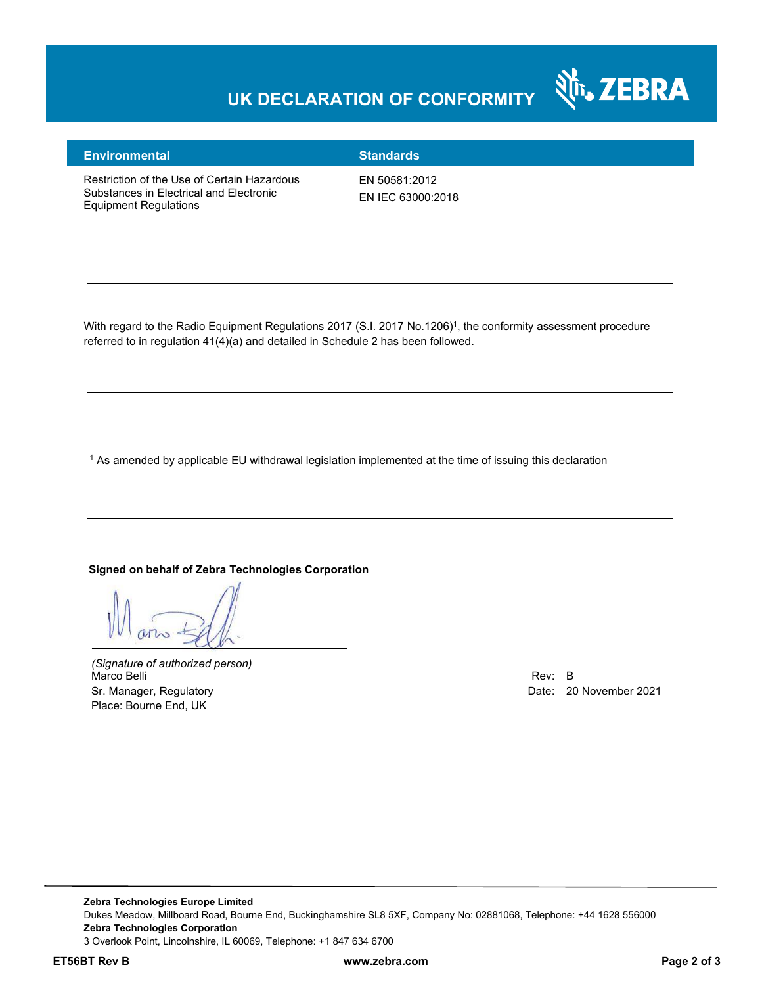## **UK DECLARATION OF CONFORMITY**



### **Environmental Standards**

Restriction of the Use of Certain Hazardous Substances in Electrical and Electronic Equipment Regulations

EN 50581:2012 EN IEC 63000:2018

With regard to the Radio Equipment Regulations 2017 (S.I. 2017 No.1206)<sup>1</sup>, the conformity assessment procedure referred to in regulation 41(4)(a) and detailed in Schedule 2 has been followed.

 $^{\rm 1}$  As amended by applicable EU withdrawal legislation implemented at the time of issuing this declaration

#### **Signed on behalf of Zebra Technologies Corporation**

*(Signature of authorized person)* Marco Belli Rev: B مستقادة المستقادة المستقدمة المستقدمة المستقدمة المستقدمة المستقدمة المستقدمة المستقدمة المستقدمة Sr. Manager, Regulatory **Date: 20 November 2021** Place: Bourne End, UK